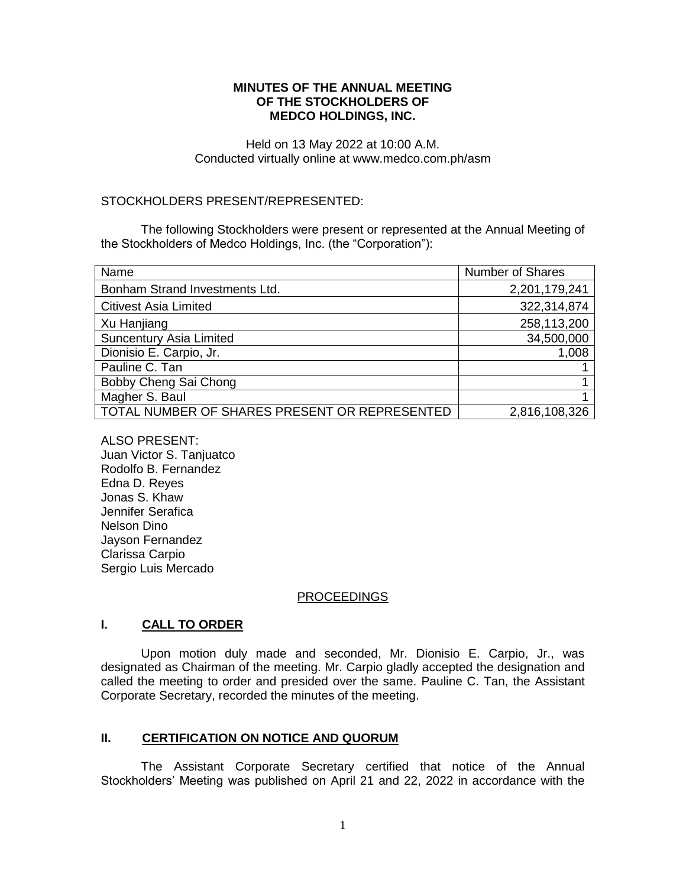### **MINUTES OF THE ANNUAL MEETING OF THE STOCKHOLDERS OF MEDCO HOLDINGS, INC.**

Held on 13 May 2022 at 10:00 A.M. Conducted virtually online at www.medco.com.ph/asm

### STOCKHOLDERS PRESENT/REPRESENTED:

The following Stockholders were present or represented at the Annual Meeting of the Stockholders of Medco Holdings, Inc. (the "Corporation"):

| Name                                          | <b>Number of Shares</b> |
|-----------------------------------------------|-------------------------|
| Bonham Strand Investments Ltd.                | 2,201,179,241           |
| <b>Citivest Asia Limited</b>                  | 322,314,874             |
| Xu Hanjiang                                   | 258,113,200             |
| <b>Suncentury Asia Limited</b>                | 34,500,000              |
| Dionisio E. Carpio, Jr.                       | 1,008                   |
| Pauline C. Tan                                |                         |
| Bobby Cheng Sai Chong                         |                         |
| Magher S. Baul                                |                         |
| TOTAL NUMBER OF SHARES PRESENT OR REPRESENTED | 2,816,108,326           |

ALSO PRESENT: Juan Victor S. Tanjuatco Rodolfo B. Fernandez Edna D. Reyes Jonas S. Khaw Jennifer Serafica Nelson Dino Jayson Fernandez Clarissa Carpio Sergio Luis Mercado

#### PROCEEDINGS

### **I. CALL TO ORDER**

Upon motion duly made and seconded, Mr. Dionisio E. Carpio, Jr., was designated as Chairman of the meeting. Mr. Carpio gladly accepted the designation and called the meeting to order and presided over the same. Pauline C. Tan, the Assistant Corporate Secretary, recorded the minutes of the meeting.

# **II. CERTIFICATION ON NOTICE AND QUORUM**

The Assistant Corporate Secretary certified that notice of the Annual Stockholders' Meeting was published on April 21 and 22, 2022 in accordance with the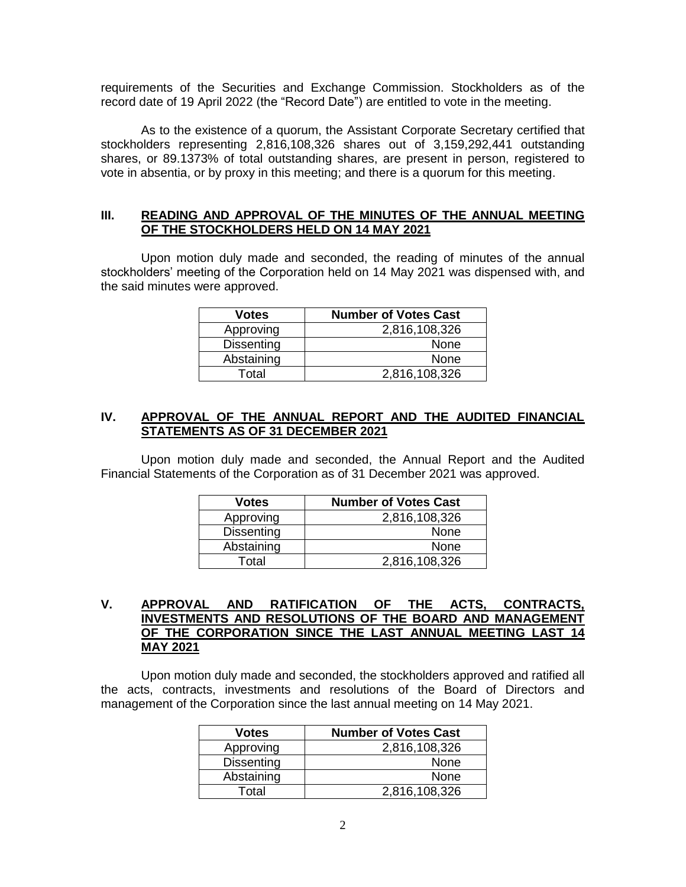requirements of the Securities and Exchange Commission. Stockholders as of the record date of 19 April 2022 (the "Record Date") are entitled to vote in the meeting.

As to the existence of a quorum, the Assistant Corporate Secretary certified that stockholders representing 2,816,108,326 shares out of 3,159,292,441 outstanding shares, or 89.1373% of total outstanding shares, are present in person, registered to vote in absentia, or by proxy in this meeting; and there is a quorum for this meeting.

### **III. READING AND APPROVAL OF THE MINUTES OF THE ANNUAL MEETING OF THE STOCKHOLDERS HELD ON 14 MAY 2021**

Upon motion duly made and seconded, the reading of minutes of the annual stockholders' meeting of the Corporation held on 14 May 2021 was dispensed with, and the said minutes were approved.

| <b>Votes</b>      | <b>Number of Votes Cast</b> |
|-------------------|-----------------------------|
| Approving         | 2,816,108,326               |
| <b>Dissenting</b> | None                        |
| Abstaining        | None                        |
| Total             | 2,816,108,326               |

### **IV. APPROVAL OF THE ANNUAL REPORT AND THE AUDITED FINANCIAL STATEMENTS AS OF 31 DECEMBER 2021**

Upon motion duly made and seconded, the Annual Report and the Audited Financial Statements of the Corporation as of 31 December 2021 was approved.

| <b>Votes</b>      | <b>Number of Votes Cast</b> |
|-------------------|-----------------------------|
| Approving         | 2,816,108,326               |
| <b>Dissenting</b> | None                        |
| Abstaining        | None                        |
| Total             | 2,816,108,326               |

### **V. APPROVAL AND RATIFICATION OF THE ACTS, CONTRACTS, INVESTMENTS AND RESOLUTIONS OF THE BOARD AND MANAGEMENT OF THE CORPORATION SINCE THE LAST ANNUAL MEETING LAST 14 MAY 2021**

Upon motion duly made and seconded, the stockholders approved and ratified all the acts, contracts, investments and resolutions of the Board of Directors and management of the Corporation since the last annual meeting on 14 May 2021.

| <b>Votes</b>      | <b>Number of Votes Cast</b> |
|-------------------|-----------------------------|
| Approving         | 2,816,108,326               |
| <b>Dissenting</b> | <b>None</b>                 |
| Abstaining        | None                        |
| Total             | 2,816,108,326               |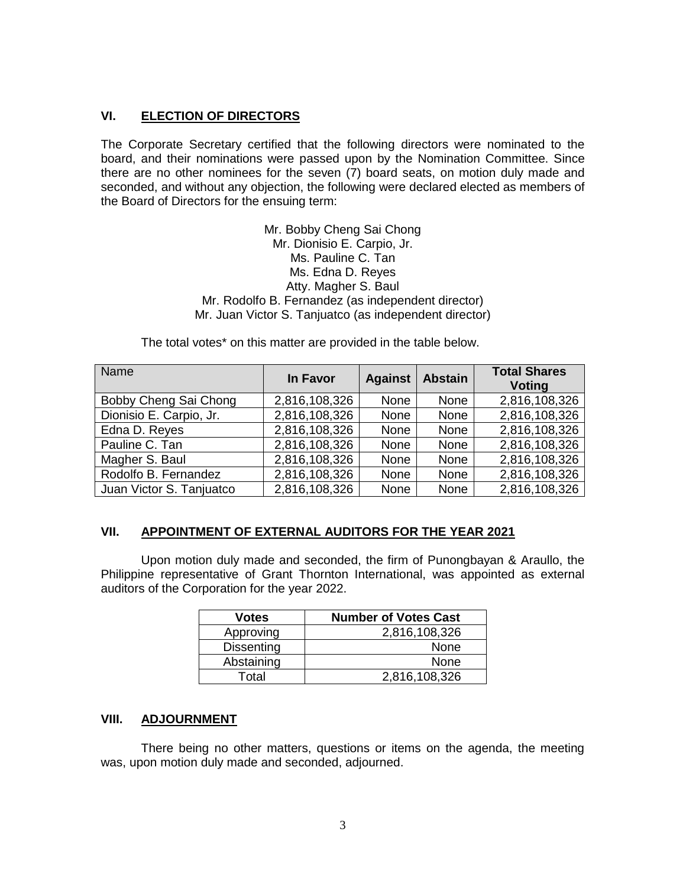# **VI. ELECTION OF DIRECTORS**

The Corporate Secretary certified that the following directors were nominated to the board, and their nominations were passed upon by the Nomination Committee. Since there are no other nominees for the seven (7) board seats, on motion duly made and seconded, and without any objection, the following were declared elected as members of the Board of Directors for the ensuing term:

> Mr. Bobby Cheng Sai Chong Mr. Dionisio E. Carpio, Jr. Ms. Pauline C. Tan Ms. Edna D. Reyes Atty. Magher S. Baul Mr. Rodolfo B. Fernandez (as independent director) Mr. Juan Victor S. Tanjuatco (as independent director)

The total votes\* on this matter are provided in the table below.

| Name                     | In Favor      | <b>Against</b> | <b>Abstain</b> | <b>Total Shares</b><br><b>Voting</b> |
|--------------------------|---------------|----------------|----------------|--------------------------------------|
| Bobby Cheng Sai Chong    | 2,816,108,326 | None           | None           | 2,816,108,326                        |
| Dionisio E. Carpio, Jr.  | 2,816,108,326 | None           | None           | 2,816,108,326                        |
| Edna D. Reyes            | 2,816,108,326 | None           | None           | 2,816,108,326                        |
| Pauline C. Tan           | 2,816,108,326 | None           | None           | 2,816,108,326                        |
| Magher S. Baul           | 2,816,108,326 | None           | None           | 2,816,108,326                        |
| Rodolfo B. Fernandez     | 2,816,108,326 | None           | None           | 2,816,108,326                        |
| Juan Victor S. Tanjuatco | 2,816,108,326 | None           | None           | 2,816,108,326                        |

# **VII. APPOINTMENT OF EXTERNAL AUDITORS FOR THE YEAR 2021**

Upon motion duly made and seconded, the firm of Punongbayan & Araullo, the Philippine representative of Grant Thornton International, was appointed as external auditors of the Corporation for the year 2022.

| <b>Votes</b>      | <b>Number of Votes Cast</b> |
|-------------------|-----------------------------|
| Approving         | 2,816,108,326               |
| <b>Dissenting</b> | None                        |
| Abstaining        | None                        |
| Total             | 2,816,108,326               |

#### **VIII. ADJOURNMENT**

There being no other matters, questions or items on the agenda, the meeting was, upon motion duly made and seconded, adjourned.